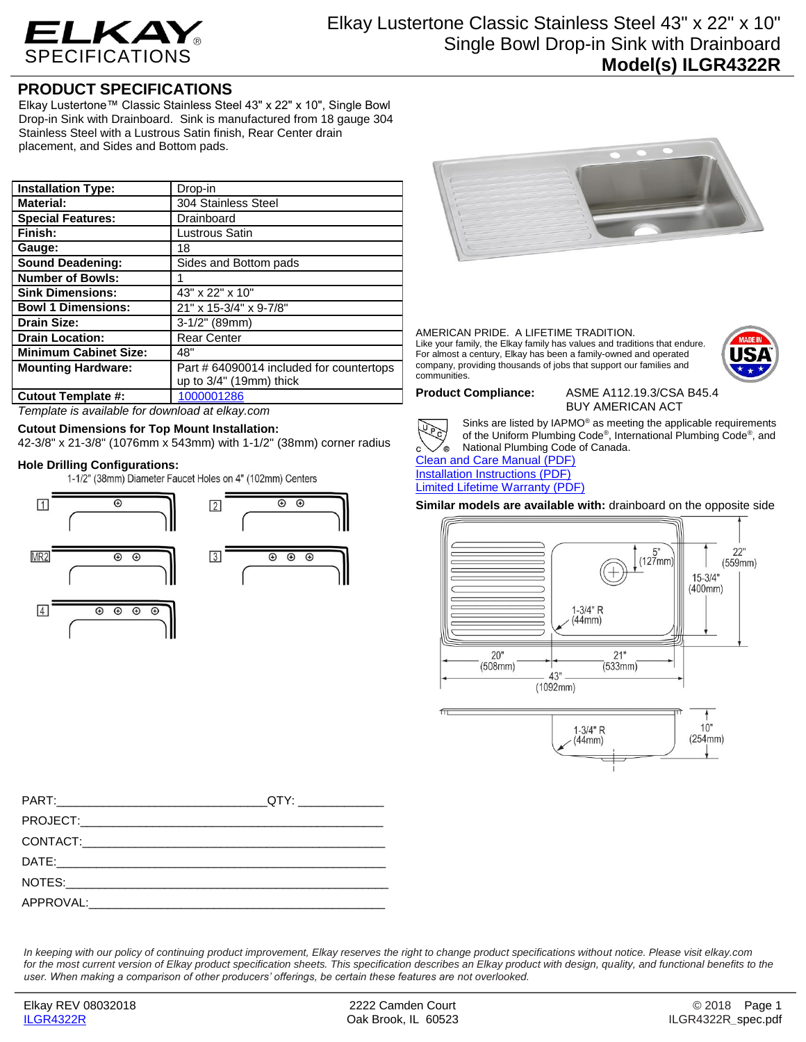

## **PRODUCT SPECIFICATIONS**

Elkay Lustertone™ Classic Stainless Steel 43" x 22" x 10", Single Bowl Drop-in Sink with Drainboard. Sink is manufactured from 18 gauge 304 Stainless Steel with a Lustrous Satin finish, Rear Center drain placement, and Sides and Bottom pads.

| <b>Installation Type:</b>    | Drop-in                                  |
|------------------------------|------------------------------------------|
| <b>Material:</b>             | 304 Stainless Steel                      |
| <b>Special Features:</b>     | Drainboard                               |
| Finish:                      | Lustrous Satin                           |
| Gauge:                       | 18                                       |
| <b>Sound Deadening:</b>      | Sides and Bottom pads                    |
| <b>Number of Bowls:</b>      |                                          |
| <b>Sink Dimensions:</b>      | 43" x 22" x 10"                          |
| <b>Bowl 1 Dimensions:</b>    | 21" x 15-3/4" x 9-7/8"                   |
| <b>Drain Size:</b>           | $3-1/2"$ (89mm)                          |
| <b>Drain Location:</b>       | <b>Rear Center</b>                       |
| <b>Minimum Cabinet Size:</b> | 48"                                      |
| <b>Mounting Hardware:</b>    | Part # 64090014 included for countertops |
|                              | up to 3/4" (19mm) thick                  |
| <b>Cutout Template #:</b>    | 1000001286                               |

*Template is available for download at elkay.com*

### **Cutout Dimensions for Top Mount Installation:**

42-3/8" x 21-3/8" (1076mm x 543mm) with 1-1/2" (38mm) corner radius

**Hole Drilling Configurations:**







AMERICAN PRIDE. A LIFETIME TRADITION. Like your family, the Elkay family has values and traditions that endure. For almost a century, Elkay has been a family-owned and operated company, providing thousands of jobs that support our families and communities.



**Product Compliance:** ASME A112.19.3/CSA B45.4 BUY AMERICAN ACT



Sinks are listed by IAPMO® as meeting the applicable requirements of the Uniform Plumbing Code® , International Plumbing Code® , and National Plumbing Code of Canada.

[Clean and Care Manual \(PDF\)](http://www.elkay.com/wcsstore/lkdocs/care-cleaning-install-warranty-sheets/residential%20and%20commercial%20care%20%20cleaning.pdf) [Installation Instructions \(PDF\)](http://www.elkay.com/wcsstore/lkdocs/care-cleaning-install-warranty-sheets/74180147.pdf) [Limited Lifetime Warranty](http://www.elkay.com/wcsstore/lkdocs/care-cleaning-install-warranty-sheets/residential%20sinks%20warranty.pdf) (PDF)

**Similar models are available with:** drainboard on the opposite side





*In keeping with our policy of continuing product improvement, Elkay reserves the right to change product specifications without notice. Please visit elkay.com for the most current version of Elkay product specification sheets. This specification describes an Elkay product with design, quality, and functional benefits to the user. When making a comparison of other producers' offerings, be certain these features are not overlooked.*